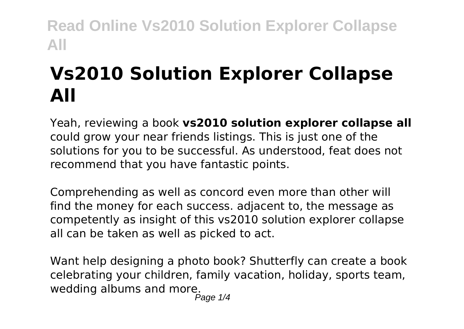# **Vs2010 Solution Explorer Collapse All**

Yeah, reviewing a book **vs2010 solution explorer collapse all** could grow your near friends listings. This is just one of the solutions for you to be successful. As understood, feat does not recommend that you have fantastic points.

Comprehending as well as concord even more than other will find the money for each success. adjacent to, the message as competently as insight of this vs2010 solution explorer collapse all can be taken as well as picked to act.

Want help designing a photo book? Shutterfly can create a book celebrating your children, family vacation, holiday, sports team, wedding albums and more.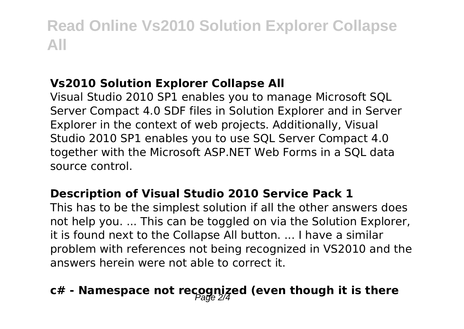#### **Vs2010 Solution Explorer Collapse All**

Visual Studio 2010 SP1 enables you to manage Microsoft SQL Server Compact 4.0 SDF files in Solution Explorer and in Server Explorer in the context of web projects. Additionally, Visual Studio 2010 SP1 enables you to use SQL Server Compact 4.0 together with the Microsoft ASP.NET Web Forms in a SQL data source control.

#### **Description of Visual Studio 2010 Service Pack 1**

This has to be the simplest solution if all the other answers does not help you. ... This can be toggled on via the Solution Explorer, it is found next to the Collapse All button. ... I have a similar problem with references not being recognized in VS2010 and the answers herein were not able to correct it.

## c# - Namespace not recognized (even though it is there